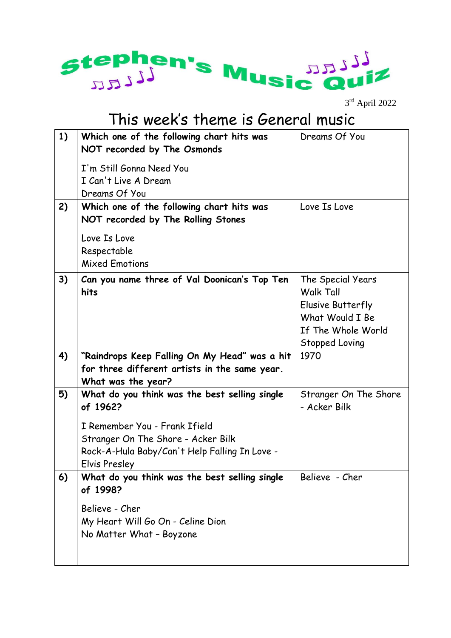

3 rd April 2022

## This week's theme is General music

| 1) | Which one of the following chart hits was<br>NOT recorded by The Osmonds                                                                                                                           | Dreams Of You                                                                                                         |
|----|----------------------------------------------------------------------------------------------------------------------------------------------------------------------------------------------------|-----------------------------------------------------------------------------------------------------------------------|
|    | I'm Still Gonna Need You<br>I Can't Live A Dream<br>Dreams Of You                                                                                                                                  |                                                                                                                       |
| 2) | Which one of the following chart hits was<br>NOT recorded by The Rolling Stones                                                                                                                    | Love Is Love                                                                                                          |
|    | Love Is Love<br>Respectable<br><b>Mixed Emotions</b>                                                                                                                                               |                                                                                                                       |
| 3) | Can you name three of Val Doonican's Top Ten<br>hits                                                                                                                                               | The Special Years<br><b>Walk Tall</b><br>Elusive Butterfly<br>What Would I Be<br>If The Whole World<br>Stopped Loving |
| 4) | "Raindrops Keep Falling On My Head" was a hit<br>for three different artists in the same year.<br>What was the year?                                                                               | 1970                                                                                                                  |
| 5) | What do you think was the best selling single<br>of 1962?<br>I Remember You - Frank Ifield<br>Stranger On The Shore - Acker Bilk<br>Rock-A-Hula Baby/Can't Help Falling In Love -<br>Elvis Presley | Stranger On The Shore<br>- Acker Bilk                                                                                 |
| 6) | What do you think was the best selling single<br>of 1998?<br>Believe - Cher<br>My Heart Will Go On - Celine Dion<br>No Matter What - Boyzone                                                       | Believe - Cher                                                                                                        |